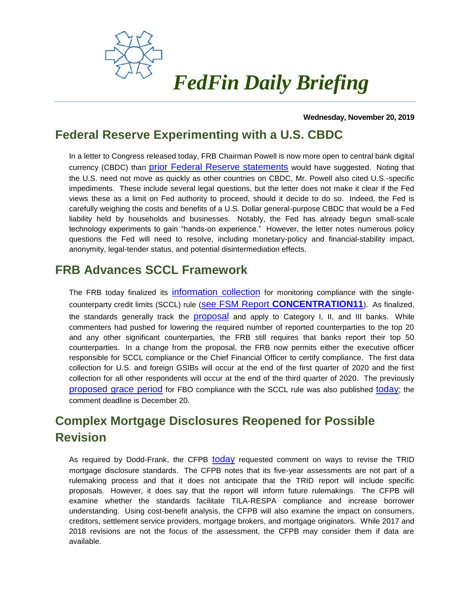

### **Wednesday, November 20, 2019**

# **Federal Reserve Experimenting with a U.S. CBDC**

In a letter to Congress released today, FRB Chairman Powell is now more open to central bank digital currency (CBDC) than [prior Federal Reserve statements](http://www.fedfin.com/document-center/doc_view/11975-daily101619) would have suggested. Noting that the U.S. need not move as quickly as other countries on CBDC, Mr. Powell also cited U.S.-specific impediments. These include several legal questions, but the letter does not make it clear if the Fed views these as a limit on Fed authority to proceed, should it decide to do so. Indeed, the Fed is carefully weighing the costs and benefits of a U.S. Dollar general-purpose CBDC that would be a Fed liability held by households and businesses. Notably, the Fed has already begun small-scale technology experiments to gain "hands-on experience." However, the letter notes numerous policy questions the Fed will need to resolve, including monetary-policy and financial-stability impact, anonymity, legal-tender status, and potential disintermediation effects.

# **FRB Advances SCCL Framework**

The FRB today finalized its [information collection](https://www.govinfo.gov/content/pkg/FR-2019-11-20/pdf/2019-24967.pdf) for monitoring compliance with the singlecounterparty credit limits (SCCL) rule (see FSM Report **[CONCENTRATION11](http://fedfin.com/document-center/doc_view/11331-concentration11)**). As finalized, the standards generally track the [proposal](http://fedfin.com/document-center/doc_view/11385-daily080618) and apply to Category I, II, and III banks. While commenters had pushed for lowering the required number of reported counterparties to the top 20 and any other significant counterparties, the FRB still requires that banks report their top 50 counterparties. In a change from the proposal, the FRB now permits either the executive officer responsible for SCCL compliance or the Chief Financial Officer to certify compliance. The first data collection for U.S. and foreign GSIBs will occur at the end of the first quarter of 2020 and the first collection for all other respondents will occur at the end of the third quarter of 2020. The previously [proposed grace period](http://fedfin.com/document-center/doc_view/12007-daily110819) for FBO compliance with the SCCL rule was also published [today](https://www.govinfo.gov/content/pkg/FR-2019-11-20/pdf/2019-24966.pdf); the comment deadline is December 20.

# **Complex Mortgage Disclosures Reopened for Possible Revision**

As required by Dodd-Frank, the CFPB [today](https://www.consumerfinance.gov/about-us/newsroom/bureau-to-assess-integrated-mortgage-disclosure-rule/) requested comment on ways to revise the TRID mortgage disclosure standards. The CFPB notes that its five-year assessments are not part of a rulemaking process and that it does not anticipate that the TRID report will include specific proposals. However, it does say that the report will inform future rulemakings. The CFPB will examine whether the standards facilitate TILA-RESPA compliance and increase borrower understanding. Using cost-benefit analysis, the CFPB will also examine the impact on consumers, creditors, settlement service providers, mortgage brokers, and mortgage originators. While 2017 and 2018 revisions are not the focus of the assessment, the CFPB may consider them if data are available.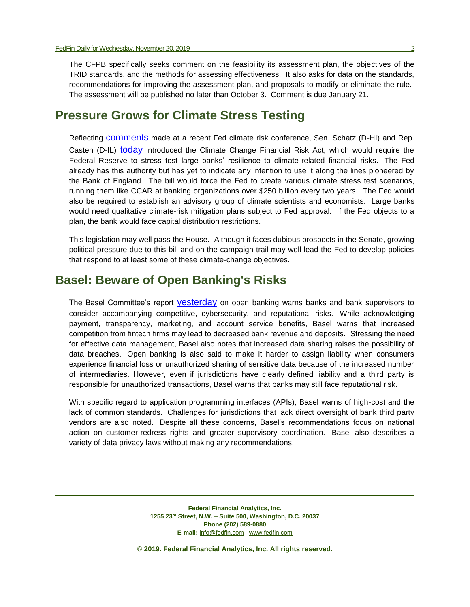The CFPB specifically seeks comment on the feasibility its assessment plan, the objectives of the TRID standards, and the methods for assessing effectiveness. It also asks for data on the standards, recommendations for improving the assessment plan, and proposals to modify or eliminate the rule. The assessment will be published no later than October 3. Comment is due January 21.

### **Pressure Grows for Climate Stress Testing**

Reflecting [comments](http://fedfin.com/docman/doc_view/12007-daily110819) made at a recent Fed climate risk conference, Sen. Schatz (D-HI) and Rep. Casten (D-IL) [today](https://www.schatz.senate.gov/press-releases/schatz-introduces-new-legislation-to-ensure-us-financial-system-is-prepared-for-climate-change) introduced the Climate Change Financial Risk Act, which would require the Federal Reserve to stress test large banks' resilience to climate-related financial risks. The Fed already has this authority but has yet to indicate any intention to use it along the lines pioneered by the Bank of England. The bill would force the Fed to create various climate stress test scenarios, running them like CCAR at banking organizations over \$250 billion every two years. The Fed would also be required to establish an advisory group of climate scientists and economists. Large banks would need qualitative climate-risk mitigation plans subject to Fed approval. If the Fed objects to a plan, the bank would face capital distribution restrictions.

This legislation may well pass the House. Although it faces dubious prospects in the Senate, growing political pressure due to this bill and on the campaign trail may well lead the Fed to develop policies that respond to at least some of these climate-change objectives.

## **Basel: Beware of Open Banking's Risks**

The Basel Committee's report [yesterday](https://www.bis.org/bcbs/publ/d486.pdf) on open banking warns banks and bank supervisors to consider accompanying competitive, cybersecurity, and reputational risks. While acknowledging payment, transparency, marketing, and account service benefits, Basel warns that increased competition from fintech firms may lead to decreased bank revenue and deposits. Stressing the need for effective data management, Basel also notes that increased data sharing raises the possibility of data breaches. Open banking is also said to make it harder to assign liability when consumers experience financial loss or unauthorized sharing of sensitive data because of the increased number of intermediaries. However, even if jurisdictions have clearly defined liability and a third party is responsible for unauthorized transactions, Basel warns that banks may still face reputational risk.

With specific regard to application programming interfaces (APIs), Basel warns of high-cost and the lack of common standards. Challenges for jurisdictions that lack direct oversight of bank third party vendors are also noted. Despite all these concerns, Basel's recommendations focus on national action on customer-redress rights and greater supervisory coordination. Basel also describes a variety of data privacy laws without making any recommendations.

> **Federal Financial Analytics, Inc. 1255 23rd Street, N.W. – Suite 500, Washington, D.C. 20037 Phone (202) 589-0880 E-mail:** [info@fedfin.com](mailto:info@fedfin.com)[www.fedfin.com](http://www.fedfin.com/)

**© 2019. Federal Financial Analytics, Inc. All rights reserved.**